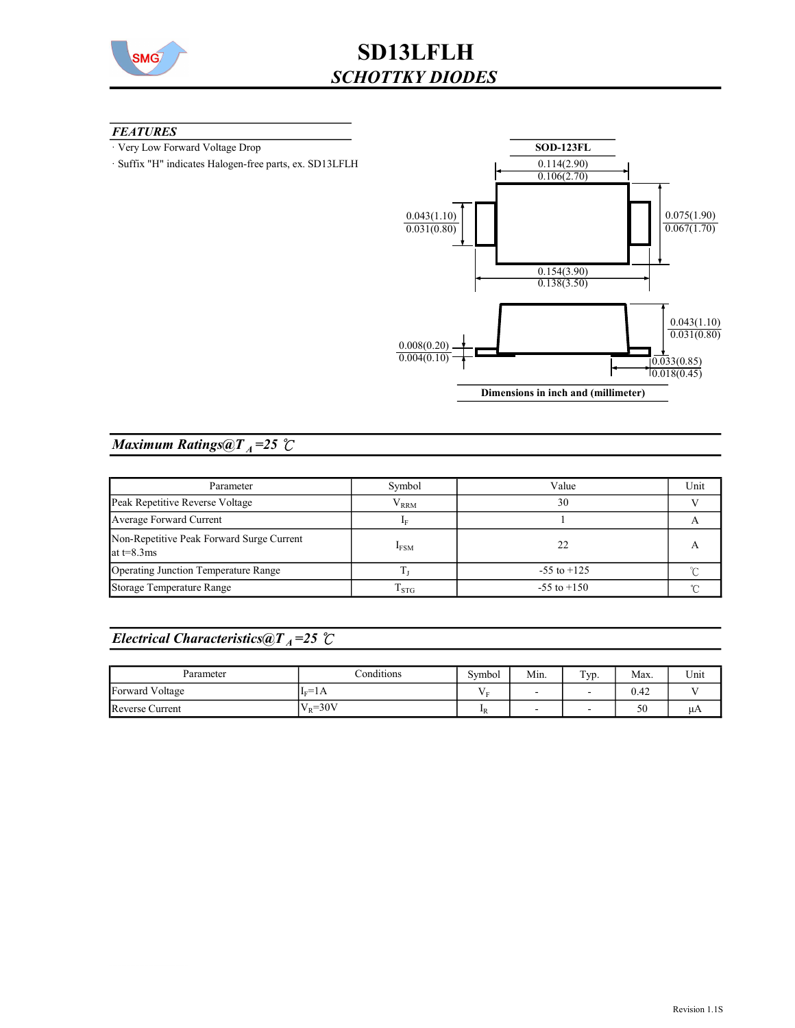

### **FEATURES**

- · Very Low Forward Voltage Drop
- · Suffix "H" indicates Halogen-free parts, ex. SD13LFLH



## Maximum Ratings@ $T_A = 25$   $C$

| Parameter                                                  | Symbol              | Value           | Unit |
|------------------------------------------------------------|---------------------|-----------------|------|
| Peak Repetitive Reverse Voltage                            | ${\rm V}_{\rm RRM}$ | 30              |      |
| Average Forward Current                                    |                     |                 |      |
| Non-Repetitive Peak Forward Surge Current<br>at $t=8.3$ ms | $I_{FSM}$           | 22              |      |
| Operating Junction Temperature Range                       |                     | $-55$ to $+125$ |      |
| Storage Temperature Range                                  | $\rm T_{STG}$       | $-55$ to $+150$ |      |

# Electrical Characteristics@T<sub>A</sub>=25  $\mathcal{C}$

| Parameter       | Conditions                            | Symbol              | Min. | $TVD$ . | Max. | Unit |
|-----------------|---------------------------------------|---------------------|------|---------|------|------|
| Forward Voltage | $\overline{\phantom{a}}$<br>1F<br>-1A | . .<br>$\mathbf{r}$ |      |         | 0.42 |      |
| Reverse Current | $V_{\rm p} = 30V$<br>V                | $\mathbf{I}$ R      | -    | -       | 50   | μA   |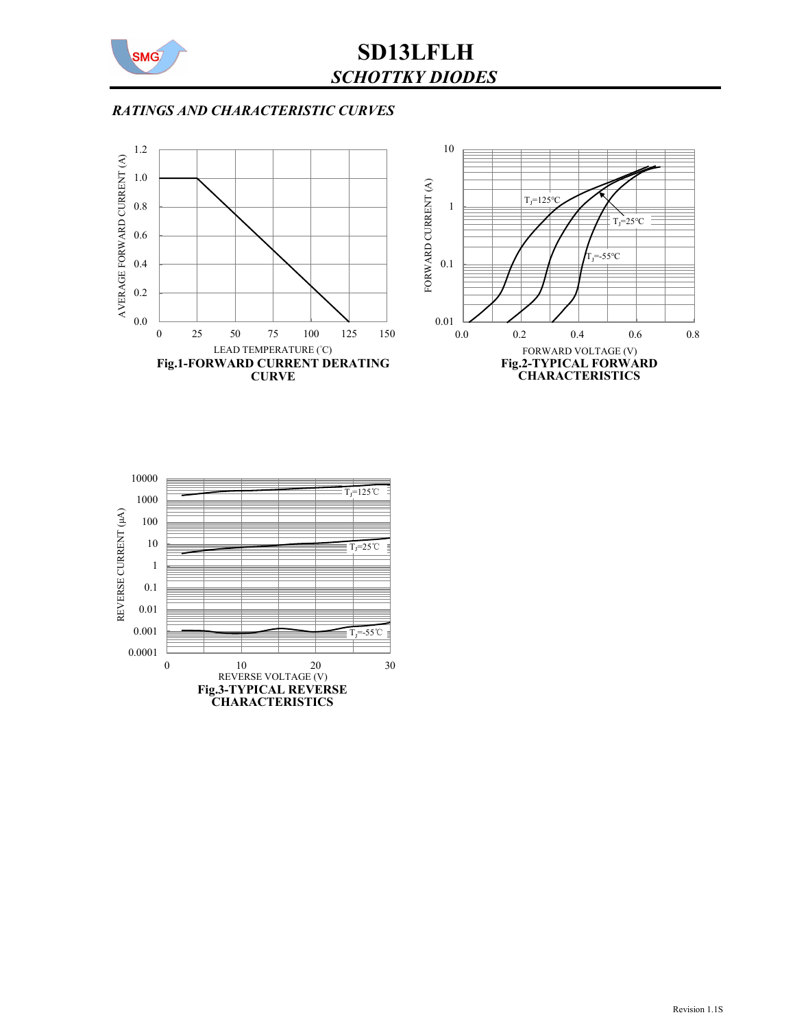

# SD13LFLH SCHOTTKY DIODES

## RATINGS AND CHARACTERISTIC CURVES





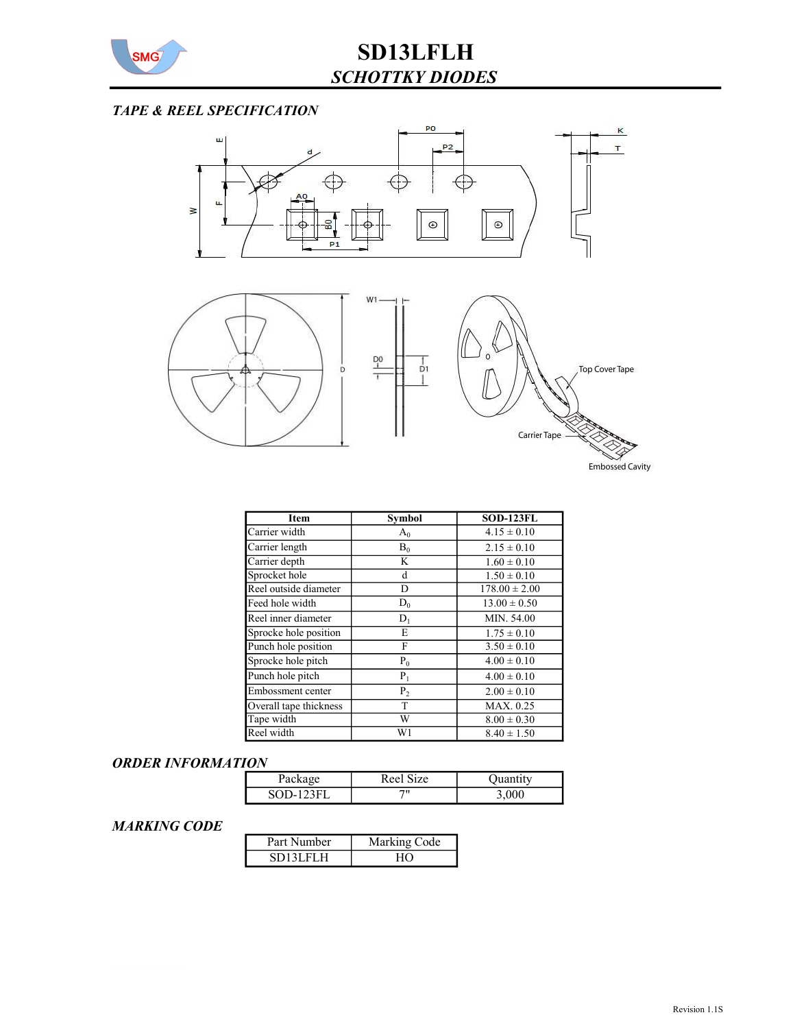

# TAPE & REEL SPECIFICATION



| Item                   | Symbol         | <b>SOD-123FL</b>  |
|------------------------|----------------|-------------------|
| Carrier width          | $A_0$          | $4.15 \pm 0.10$   |
| Carrier length         | $B_0$          | $2.15 \pm 0.10$   |
| Carrier depth          | K              | $1.60 \pm 0.10$   |
| Sprocket hole          | d              | $1.50 \pm 0.10$   |
| Reel outside diameter  | D              | $178.00 \pm 2.00$ |
| Feed hole width        | $D_0$          | $13.00 \pm 0.50$  |
| Reel inner diameter    | $D_1$          | MIN. 54.00        |
| Sprocke hole position  | E              | $1.75 \pm 0.10$   |
| Punch hole position    | F              | $3.50 \pm 0.10$   |
| Sprocke hole pitch     | $P_0$          | $4.00 \pm 0.10$   |
| Punch hole pitch       | $P_1$          | $4.00 \pm 0.10$   |
| Embossment center      | P <sub>2</sub> | $2.00 \pm 0.10$   |
| Overall tape thickness | T              | MAX. 0.25         |
| Tape width             | W              | $8.00 \pm 0.30$   |
| Reel width             | W1             | $8.40 \pm 1.50$   |

#### ORDER INFORMATION

| Раскад    | $Reel$ s<br>17e |  |
|-----------|-----------------|--|
| SOD-123FI | 711             |  |

## MARKING CODE

| Part Number | Marking Code |
|-------------|--------------|
| SD13LFLH    |              |